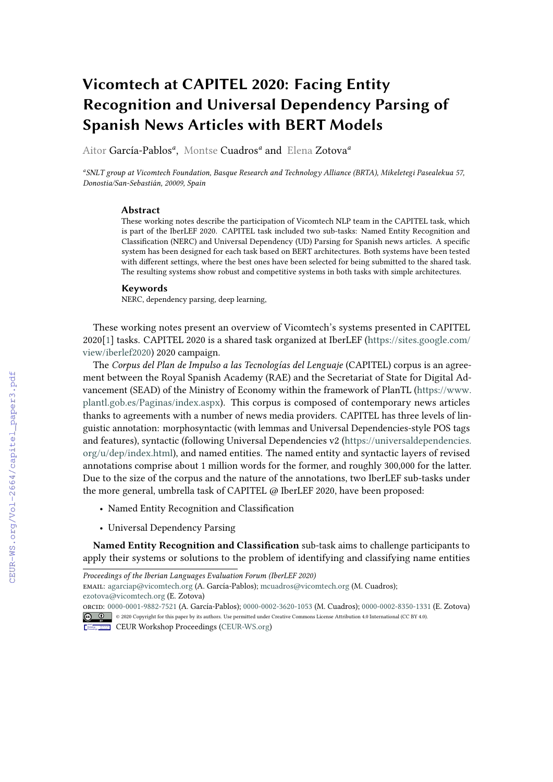# **Vicomtech at CAPITEL 2020: Facing Entity Recognition and Universal Dependency Parsing of Spanish News Articles with BERT Models**

Aitor García-Pablos*<sup>a</sup>* , Montse Cuadros*<sup>a</sup>* and Elena Zotova*<sup>a</sup>*

*a SNLT group at Vicomtech Foundation, Basque Research and Technology Alliance (BRTA), Mikeletegi Pasealekua 57, Donostia/San-Sebastián, 20009, Spain*

#### **Abstract**

These working notes describe the participation of Vicomtech NLP team in the CAPITEL task, which is part of the IberLEF 2020. CAPITEL task included two sub-tasks: Named Entity Recognition and Classification (NERC) and Universal Dependency (UD) Parsing for Spanish news articles. A specific system has been designed for each task based on BERT architectures. Both systems have been tested with different settings, where the best ones have been selected for being submitted to the shared task. The resulting systems show robust and competitive systems in both tasks with simple architectures.

#### **Keywords**

NERC, dependency parsing, deep learning,

These working notes present an overview of Vicomtech's systems presented in CAPITEL 2020[\[1\]](#page--1-0) tasks. CAPITEL 2020 is a shared task organized at IberLEF [\(https://sites.google.com/](https://sites.google.com/view/iberlef2020) [view/iberlef2020\)](https://sites.google.com/view/iberlef2020) 2020 campaign.

The *Corpus del Plan de Impulso a las Tecnologías del Lenguaje* (CAPITEL) corpus is an agreement between the Royal Spanish Academy (RAE) and the Secretariat of State for Digital Advancement (SEAD) of the Ministry of Economy within the framework of PlanTL [\(https://www.](https://www.plantl.gob.es/Paginas/index.aspx) [plantl.gob.es/Paginas/index.aspx\)](https://www.plantl.gob.es/Paginas/index.aspx). This corpus is composed of contemporary news articles thanks to agreements with a number of news media providers. CAPITEL has three levels of linguistic annotation: morphosyntactic (with lemmas and Universal Dependencies-style POS tags and features), syntactic (following Universal Dependencies v2 [\(https://universaldependencies.](https://universaldependencies.org/u/dep/index.html) [org/u/dep/index.html\)](https://universaldependencies.org/u/dep/index.html), and named entities. The named entity and syntactic layers of revised annotations comprise about 1 million words for the former, and roughly 300,000 for the latter. Due to the size of the corpus and the nature of the annotations, two IberLEF sub-tasks under the more general, umbrella task of CAPITEL @ IberLEF 2020, have been proposed:

- Named Entity Recognition and Classification
- Universal Dependency Parsing

**Named Entity Recognition and Classification** sub-task aims to challenge participants to apply their systems or solutions to the problem of identifying and classifying name entities

CEUR Workshop [Proceedings](http://ceur-ws.org) [\(CEUR-WS.org\)](http://ceur-ws.org)

*Proceedings of the Iberian Languages Evaluation Forum (IberLEF 2020)*

email: [agarciap@vicomtech.org](mailto:agarciap@vicomtech.org) (A. García-Pablos); [mcuadros@vicomtech.org](mailto:mcuadros@vicomtech.org) (M. Cuadros); [ezotova@vicomtech.org](mailto:ezotova@vicomtech.org) (E. Zotova)

orcid: [0000-0001-9882-7521](https://orcid.org/0000-0001-9882-7521) (A. García-Pablos); [0000-0002-3620-1053](https://orcid.org/0000-0002-3620-1053) (M. Cuadros); [0000-0002-8350-1331](https://orcid.org/0000-0002-8350-1331) (E. Zotova) © 2020 Copyright for this paper by its authors. Use permitted under Creative Commons License Attribution 4.0 International (CC BY 4.0).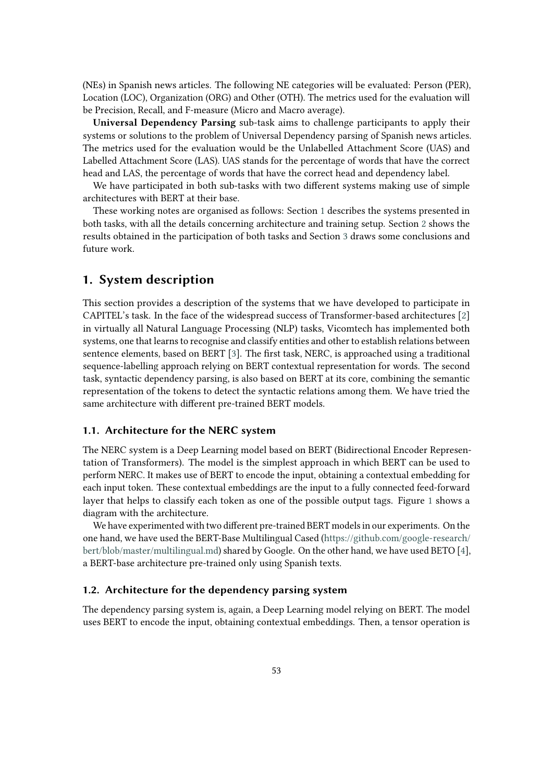(NEs) in Spanish news articles. The following NE categories will be evaluated: Person (PER), Location (LOC), Organization (ORG) and Other (OTH). The metrics used for the evaluation will be Precision, Recall, and F-measure (Micro and Macro average).

**Universal Dependency Parsing** sub-task aims to challenge participants to apply their systems or solutions to the problem of Universal Dependency parsing of Spanish news articles. The metrics used for the evaluation would be the Unlabelled Attachment Score (UAS) and Labelled Attachment Score (LAS). UAS stands for the percentage of words that have the correct head and LAS, the percentage of words that have the correct head and dependency label.

We have participated in both sub-tasks with two different systems making use of simple architectures with BERT at their base.

These working notes are organised as follows: Section [1](#page-1-0) describes the systems presented in both tasks, with all the details concerning architecture and training setup. Section [2](#page-5-0) shows the results obtained in the participation of both tasks and Section [3](#page-6-0) draws some conclusions and future work.

# <span id="page-1-0"></span>**1. System description**

This section provides a description of the systems that we have developed to participate in CAPITEL's task. In the face of the widespread success of Transformer-based architectures [\[2\]](#page-7-0) in virtually all Natural Language Processing (NLP) tasks, Vicomtech has implemented both systems, one that learns to recognise and classify entities and other to establish relations between sentence elements, based on BERT [\[3\]](#page-7-1). The first task, NERC, is approached using a traditional sequence-labelling approach relying on BERT contextual representation for words. The second task, syntactic dependency parsing, is also based on BERT at its core, combining the semantic representation of the tokens to detect the syntactic relations among them. We have tried the same architecture with different pre-trained BERT models.

## **1.1. Architecture for the NERC system**

The NERC system is a Deep Learning model based on BERT (Bidirectional Encoder Representation of Transformers). The model is the simplest approach in which BERT can be used to perform NERC. It makes use of BERT to encode the input, obtaining a contextual embedding for each input token. These contextual embeddings are the input to a fully connected feed-forward layer that helps to classify each token as one of the possible output tags. Figure [1](#page-2-0) shows a diagram with the architecture.

We have experimented with two different pre-trained BERT models in our experiments. On the one hand, we have used the BERT-Base Multilingual Cased [\(https://github.com/google-research/](https://github.com/google-research/bert/blob/master/multilingual.md) [bert/blob/master/multilingual.md\)](https://github.com/google-research/bert/blob/master/multilingual.md) shared by Google. On the other hand, we have used BETO [\[4\]](#page-7-2), a BERT-base architecture pre-trained only using Spanish texts.

## **1.2. Architecture for the dependency parsing system**

The dependency parsing system is, again, a Deep Learning model relying on BERT. The model uses BERT to encode the input, obtaining contextual embeddings. Then, a tensor operation is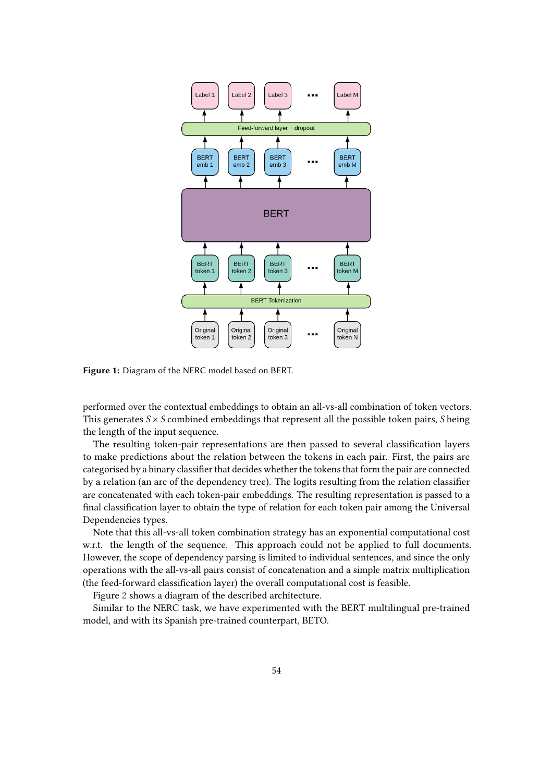

<span id="page-2-0"></span>**Figure 1:** Diagram of the NERC model based on BERT.

performed over the contextual embeddings to obtain an all-vs-all combination of token vectors. This generates  $S \times S$  combined embeddings that represent all the possible token pairs, S being the length of the input sequence.

The resulting token-pair representations are then passed to several classification layers to make predictions about the relation between the tokens in each pair. First, the pairs are categorised by a binary classifier that decides whether the tokens that form the pair are connected by a relation (an arc of the dependency tree). The logits resulting from the relation classifier are concatenated with each token-pair embeddings. The resulting representation is passed to a final classification layer to obtain the type of relation for each token pair among the Universal Dependencies types.

Note that this all-vs-all token combination strategy has an exponential computational cost w.r.t. the length of the sequence. This approach could not be applied to full documents. However, the scope of dependency parsing is limited to individual sentences, and since the only operations with the all-vs-all pairs consist of concatenation and a simple matrix multiplication (the feed-forward classification layer) the overall computational cost is feasible.

Figure [2](#page-3-0) shows a diagram of the described architecture.

Similar to the NERC task, we have experimented with the BERT multilingual pre-trained model, and with its Spanish pre-trained counterpart, BETO.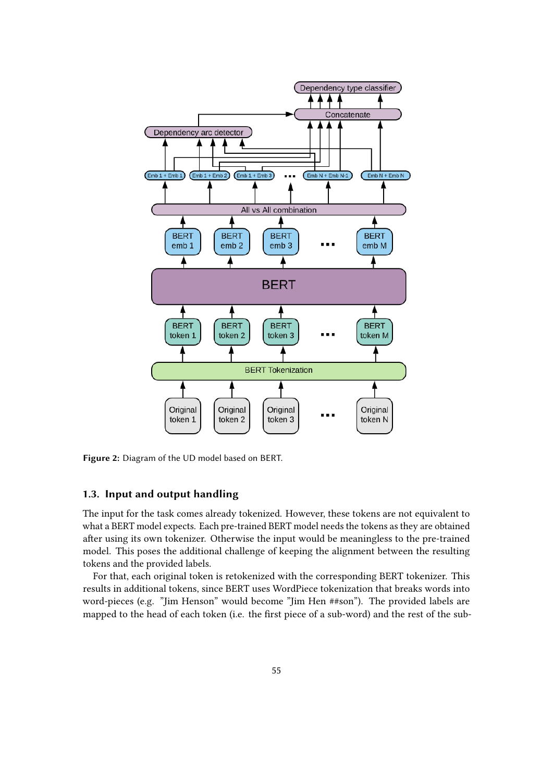

<span id="page-3-0"></span>**Figure 2:** Diagram of the UD model based on BERT.

## **1.3. Input and output handling**

The input for the task comes already tokenized. However, these tokens are not equivalent to what a BERT model expects. Each pre-trained BERT model needs the tokens as they are obtained after using its own tokenizer. Otherwise the input would be meaningless to the pre-trained model. This poses the additional challenge of keeping the alignment between the resulting tokens and the provided labels.

For that, each original token is retokenized with the corresponding BERT tokenizer. This results in additional tokens, since BERT uses WordPiece tokenization that breaks words into word-pieces (e.g. "Jim Henson" would become "Jim Hen ##son"). The provided labels are mapped to the head of each token (i.e. the first piece of a sub-word) and the rest of the sub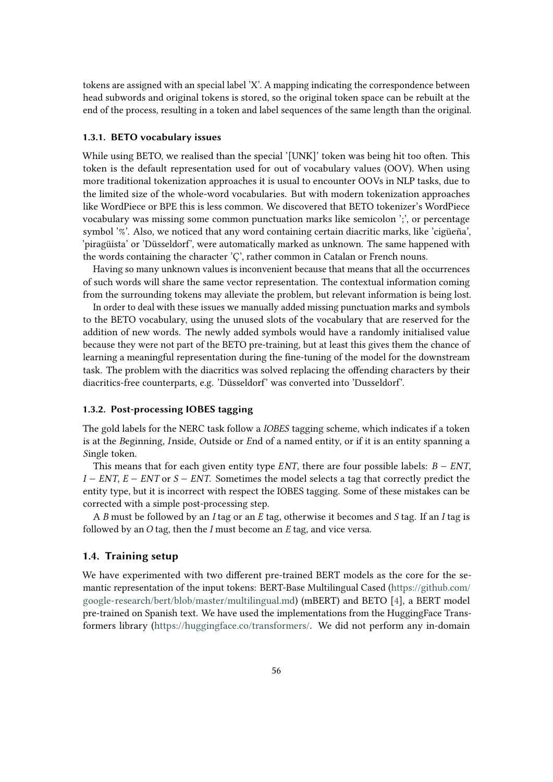tokens are assigned with an special label 'X'. A mapping indicating the correspondence between head subwords and original tokens is stored, so the original token space can be rebuilt at the end of the process, resulting in a token and label sequences of the same length than the original.

### **1.3.1. BETO vocabulary issues**

While using BETO, we realised than the special '[UNK]' token was being hit too often. This token is the default representation used for out of vocabulary values (OOV). When using more traditional tokenization approaches it is usual to encounter OOVs in NLP tasks, due to the limited size of the whole-word vocabularies. But with modern tokenization approaches like WordPiece or BPE this is less common. We discovered that BETO tokenizer's WordPiece vocabulary was missing some common punctuation marks like semicolon ';', or percentage symbol '%'. Also, we noticed that any word containing certain diacritic marks, like 'cigüeña', 'piragüista' or 'Düsseldorf', were automatically marked as unknown. The same happened with the words containing the character 'Ç', rather common in Catalan or French nouns.

Having so many unknown values is inconvenient because that means that all the occurrences of such words will share the same vector representation. The contextual information coming from the surrounding tokens may alleviate the problem, but relevant information is being lost.

In order to deal with these issues we manually added missing punctuation marks and symbols to the BETO vocabulary, using the unused slots of the vocabulary that are reserved for the addition of new words. The newly added symbols would have a randomly initialised value because they were not part of the BETO pre-training, but at least this gives them the chance of learning a meaningful representation during the fine-tuning of the model for the downstream task. The problem with the diacritics was solved replacing the offending characters by their diacritics-free counterparts, e.g. 'Düsseldorf' was converted into 'Dusseldorf'.

#### **1.3.2. Post-processing IOBES tagging**

The gold labels for the NERC task follow a *IOBES* tagging scheme, which indicates if a token is at the *B*eginning, *I*nside, *O*utside or *E*nd of a named entity, or if it is an entity spanning a *S*ingle token.

This means that for each given entity type  $ENT$ , there are four possible labels:  $B - ENT$ ,  $I - ENT$ ,  $E - ENT$  or  $S - ENT$ . Sometimes the model selects a tag that correctly predict the entity type, but it is incorrect with respect the IOBES tagging. Some of these mistakes can be corrected with a simple post-processing step.

A  $\overline{B}$  must be followed by an  $I$  tag or an  $E$  tag, otherwise it becomes and  $S$  tag. If an  $I$  tag is followed by an  $O$  tag, then the  $I$  must become an  $E$  tag, and vice versa.

#### **1.4. Training setup**

We have experimented with two different pre-trained BERT models as the core for the semantic representation of the input tokens: BERT-Base Multilingual Cased [\(https://github.com/](https://github.com/google-research/bert/blob/master/multilingual.md) [google-research/bert/blob/master/multilingual.md\)](https://github.com/google-research/bert/blob/master/multilingual.md) (mBERT) and BETO [\[4\]](#page-7-2), a BERT model pre-trained on Spanish text. We have used the implementations from the HuggingFace Transformers library [\(https://huggingface.co/transformers/.](https://huggingface.co/transformers/) We did not perform any in-domain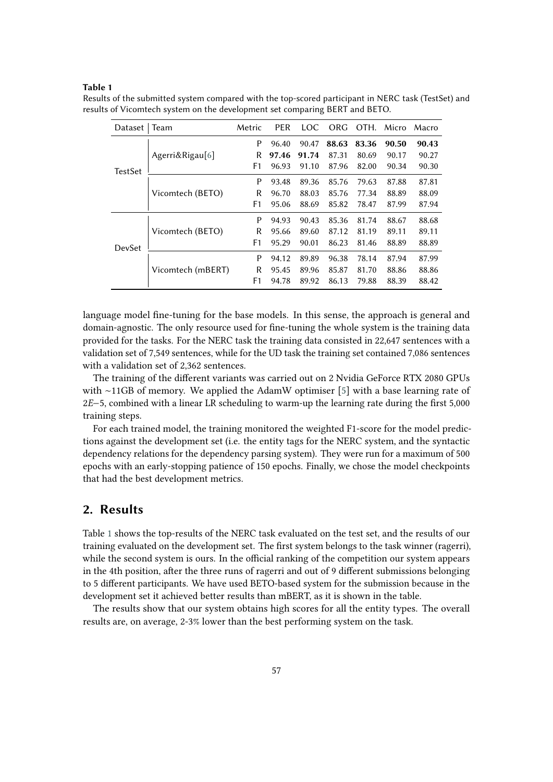#### **Table 1**

| Dataset        | Team              | Metric         | <b>PER</b> | LOC   | ORG   | OTH.  | Micro | Macro |
|----------------|-------------------|----------------|------------|-------|-------|-------|-------|-------|
| <b>TestSet</b> | Agerri&Rigau[6]   | P              | 96.40      | 90.47 | 88.63 | 83.36 | 90.50 | 90.43 |
|                |                   | R              | 97.46      | 91.74 | 87.31 | 80.69 | 90.17 | 90.27 |
|                |                   | F1             | 96.93      | 91.10 | 87.96 | 82.00 | 90.34 | 90.30 |
|                | Vicomtech (BETO)  | P              | 93.48      | 89.36 | 85.76 | 79.63 | 87.88 | 87.81 |
|                |                   | R              | 96.70      | 88.03 | 85.76 | 77.34 | 88.89 | 88.09 |
|                |                   | F1             | 95.06      | 88.69 | 85.82 | 78.47 | 87.99 | 87.94 |
| DevSet         | Vicomtech (BETO)  | P              | 94.93      | 90.43 | 85.36 | 81.74 | 88.67 | 88.68 |
|                |                   | R              | 95.66      | 89.60 | 87.12 | 81.19 | 89.11 | 89.11 |
|                |                   | F1             | 95.29      | 90.01 | 86.23 | 81.46 | 88.89 | 88.89 |
|                | Vicomtech (mBERT) | P              | 94.12      | 89.89 | 96.38 | 78.14 | 87.94 | 87.99 |
|                |                   | R              | 95.45      | 89.96 | 85.87 | 81.70 | 88.86 | 88.86 |
|                |                   | F <sub>1</sub> | 94.78      | 89.92 | 86.13 | 79.88 | 88.39 | 88.42 |

<span id="page-5-1"></span>Results of the submitted system compared with the top-scored participant in NERC task (TestSet) and results of Vicomtech system on the development set comparing BERT and BETO.

language model fine-tuning for the base models. In this sense, the approach is general and domain-agnostic. The only resource used for fine-tuning the whole system is the training data provided for the tasks. For the NERC task the training data consisted in 22,647 sentences with a validation set of 7,549 sentences, while for the UD task the training set contained 7,086 sentences with a validation set of 2,362 sentences.

The training of the different variants was carried out on 2 Nvidia GeForce RTX 2080 GPUs with ∼11GB of memory. We applied the AdamW optimiser [\[5\]](#page-7-4) with a base learning rate of 2−5, combined with a linear LR scheduling to warm-up the learning rate during the first 5,000 training steps.

For each trained model, the training monitored the weighted F1-score for the model predictions against the development set (i.e. the entity tags for the NERC system, and the syntactic dependency relations for the dependency parsing system). They were run for a maximum of 500 epochs with an early-stopping patience of 150 epochs. Finally, we chose the model checkpoints that had the best development metrics.

# <span id="page-5-0"></span>**2. Results**

Table [1](#page-5-1) shows the top-results of the NERC task evaluated on the test set, and the results of our training evaluated on the development set. The first system belongs to the task winner (ragerri), while the second system is ours. In the official ranking of the competition our system appears in the 4th position, after the three runs of ragerri and out of 9 different submissions belonging to 5 different participants. We have used BETO-based system for the submission because in the development set it achieved better results than mBERT, as it is shown in the table.

The results show that our system obtains high scores for all the entity types. The overall results are, on average, 2-3% lower than the best performing system on the task.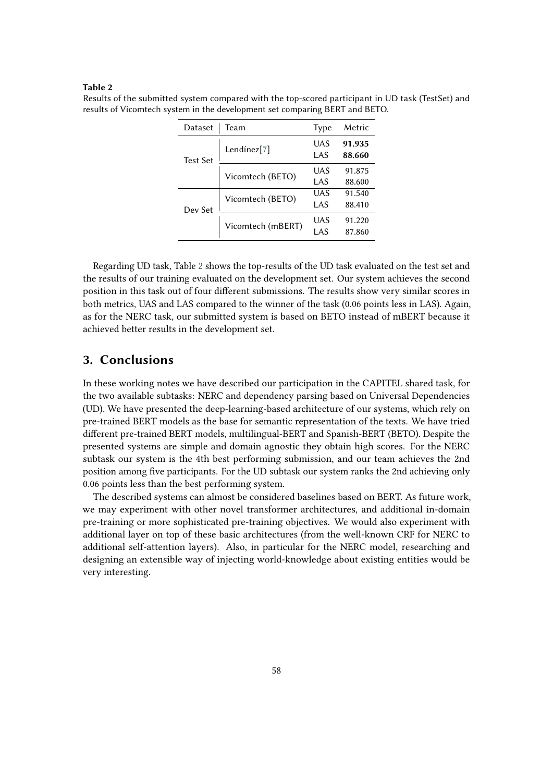#### **Table 2**

| Dataset         | Team                    | Type       | Metric           |
|-----------------|-------------------------|------------|------------------|
| <b>Test Set</b> | Lendínez <sup>[7]</sup> | UAS<br>LAS | 91.935<br>88.660 |
|                 | Vicomtech (BETO)        | UAS<br>LAS | 91.875<br>88.600 |
| Dev Set         | Vicomtech (BETO)        | UAS<br>LAS | 91.540<br>88.410 |
|                 | Vicomtech (mBERT)       | UAS<br>LAS | 91.220<br>87.860 |

<span id="page-6-1"></span>Results of the submitted system compared with the top-scored participant in UD task (TestSet) and results of Vicomtech system in the development set comparing BERT and BETO.

Regarding UD task, Table [2](#page-6-1) shows the top-results of the UD task evaluated on the test set and the results of our training evaluated on the development set. Our system achieves the second position in this task out of four different submissions. The results show very similar scores in both metrics, UAS and LAS compared to the winner of the task (0.06 points less in LAS). Again, as for the NERC task, our submitted system is based on BETO instead of mBERT because it achieved better results in the development set.

# <span id="page-6-0"></span>**3. Conclusions**

In these working notes we have described our participation in the CAPITEL shared task, for the two available subtasks: NERC and dependency parsing based on Universal Dependencies (UD). We have presented the deep-learning-based architecture of our systems, which rely on pre-trained BERT models as the base for semantic representation of the texts. We have tried different pre-trained BERT models, multilingual-BERT and Spanish-BERT (BETO). Despite the presented systems are simple and domain agnostic they obtain high scores. For the NERC subtask our system is the 4th best performing submission, and our team achieves the 2nd position among five participants. For the UD subtask our system ranks the 2nd achieving only 0.06 points less than the best performing system.

The described systems can almost be considered baselines based on BERT. As future work, we may experiment with other novel transformer architectures, and additional in-domain pre-training or more sophisticated pre-training objectives. We would also experiment with additional layer on top of these basic architectures (from the well-known CRF for NERC to additional self-attention layers). Also, in particular for the NERC model, researching and designing an extensible way of injecting world-knowledge about existing entities would be very interesting.